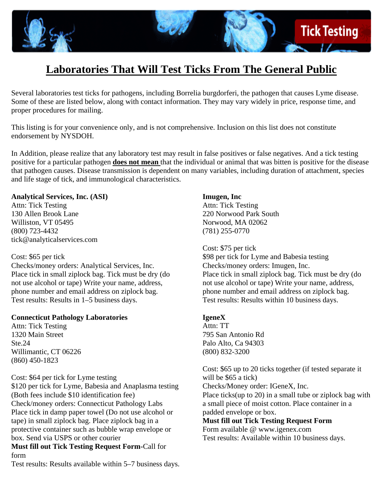

# **Laboratories That Will Test Ticks From The General Public**

Several laboratories test ticks for pathogens, including Borrelia burgdorferi, the pathogen that causes Lyme disease. Some of these are listed below, along with contact information. They may vary widely in price, response time, and proper procedures for mailing.

This listing is for your convenience only, and is not comprehensive. Inclusion on this list does not constitute endorsement by NYSDOH.

In Addition, please realize that any laboratory test may result in false positives or false negatives. And a tick testing positive for a particular pathogen **does not mean** that the individual or animal that was bitten is positive for the disease that pathogen causes. Disease transmission is dependent on many variables, including duration of attachment, species and life stage of tick, and immunological characteristics.

#### **Analytical Services, Inc. (ASI)**

Attn: Tick Testing 130 Allen Brook Lane Williston, VT 05495 (800) 723-4432 tick@analyticalservices.com

Cost: \$65 per tick

Checks/money orders: Analytical Services, Inc. Place tick in small ziplock bag. Tick must be dry (do not use alcohol or tape) Write your name, address, phone number and email address on ziplock bag. Test results: Results in 1–5 business days.

# **Connecticut Pathology Laboratories**

Attn: Tick Testing 1320 Main Street Ste.24 Willimantic, CT 06226 (860) 450-1823

Cost: \$64 per tick for Lyme testing

\$120 per tick for Lyme, Babesia and Anaplasma testing (Both fees include \$10 identification fee) Check/money orders: Connecticut Pathology Labs Place tick in damp paper towel (Do not use alcohol or tape) in small ziplock bag. Place ziplock bag in a protective container such as bubble wrap envelope or box. Send via USPS or other courier

#### **Must fill out Tick Testing Request Form-**Call for form

Test results: Results available within 5–7 business days.

#### **Imugen, Inc**

Attn: Tick Testing 220 Norwood Park South Norwood, MA 02062 (781) 255-0770

Cost: \$75 per tick \$98 per tick for Lyme and Babesia testing Checks/money orders: Imugen, Inc. Place tick in small ziplock bag. Tick must be dry (do not use alcohol or tape) Write your name, address, phone number and email address on ziplock bag. Test results: Results within 10 business days.

#### **IgeneX**

Attn: TT 795 San Antonio Rd Palo Alto, Ca 94303 (800) 832-3200

Cost: \$65 up to 20 ticks together (if tested separate it will be \$65 a tick) Checks/Money order: IGeneX, Inc. Place ticks(up to 20) in a small tube or ziplock bag with a small piece of moist cotton. Place container in a padded envelope or box. **Must fill out Tick Testing Request Form**  Form available @ www.igenex.com

Test results: Available within 10 business days.